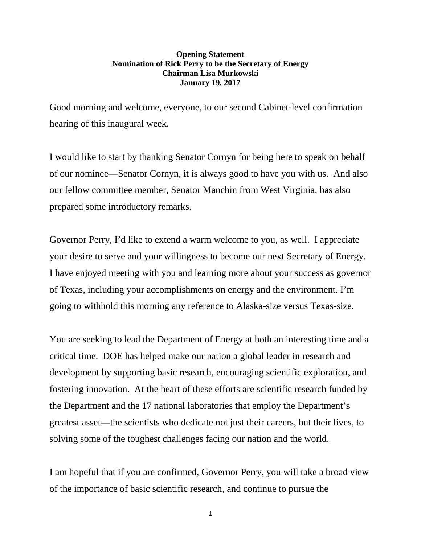## **Opening Statement Nomination of Rick Perry to be the Secretary of Energy Chairman Lisa Murkowski January 19, 2017**

Good morning and welcome, everyone, to our second Cabinet-level confirmation hearing of this inaugural week.

I would like to start by thanking Senator Cornyn for being here to speak on behalf of our nominee—Senator Cornyn, it is always good to have you with us. And also our fellow committee member, Senator Manchin from West Virginia, has also prepared some introductory remarks.

Governor Perry, I'd like to extend a warm welcome to you, as well. I appreciate your desire to serve and your willingness to become our next Secretary of Energy. I have enjoyed meeting with you and learning more about your success as governor of Texas, including your accomplishments on energy and the environment. I'm going to withhold this morning any reference to Alaska-size versus Texas-size.

You are seeking to lead the Department of Energy at both an interesting time and a critical time. DOE has helped make our nation a global leader in research and development by supporting basic research, encouraging scientific exploration, and fostering innovation. At the heart of these efforts are scientific research funded by the Department and the 17 national laboratories that employ the Department's greatest asset—the scientists who dedicate not just their careers, but their lives, to solving some of the toughest challenges facing our nation and the world.

I am hopeful that if you are confirmed, Governor Perry, you will take a broad view of the importance of basic scientific research, and continue to pursue the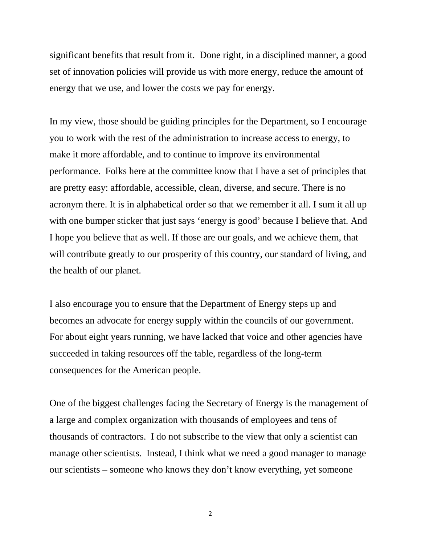significant benefits that result from it. Done right, in a disciplined manner, a good set of innovation policies will provide us with more energy, reduce the amount of energy that we use, and lower the costs we pay for energy.

In my view, those should be guiding principles for the Department, so I encourage you to work with the rest of the administration to increase access to energy, to make it more affordable, and to continue to improve its environmental performance. Folks here at the committee know that I have a set of principles that are pretty easy: affordable, accessible, clean, diverse, and secure. There is no acronym there. It is in alphabetical order so that we remember it all. I sum it all up with one bumper sticker that just says 'energy is good' because I believe that. And I hope you believe that as well. If those are our goals, and we achieve them, that will contribute greatly to our prosperity of this country, our standard of living, and the health of our planet.

I also encourage you to ensure that the Department of Energy steps up and becomes an advocate for energy supply within the councils of our government. For about eight years running, we have lacked that voice and other agencies have succeeded in taking resources off the table, regardless of the long-term consequences for the American people.

One of the biggest challenges facing the Secretary of Energy is the management of a large and complex organization with thousands of employees and tens of thousands of contractors. I do not subscribe to the view that only a scientist can manage other scientists. Instead, I think what we need a good manager to manage our scientists – someone who knows they don't know everything, yet someone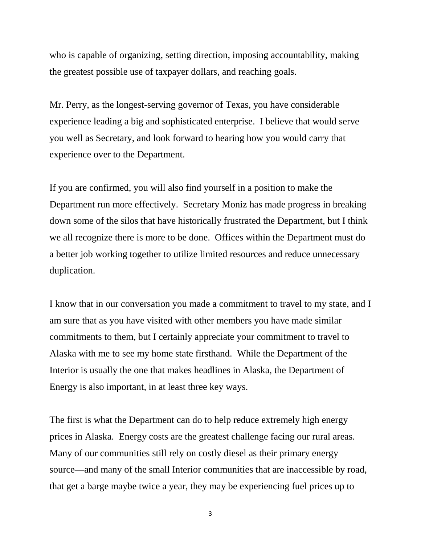who is capable of organizing, setting direction, imposing accountability, making the greatest possible use of taxpayer dollars, and reaching goals.

Mr. Perry, as the longest-serving governor of Texas, you have considerable experience leading a big and sophisticated enterprise. I believe that would serve you well as Secretary, and look forward to hearing how you would carry that experience over to the Department.

If you are confirmed, you will also find yourself in a position to make the Department run more effectively. Secretary Moniz has made progress in breaking down some of the silos that have historically frustrated the Department, but I think we all recognize there is more to be done. Offices within the Department must do a better job working together to utilize limited resources and reduce unnecessary duplication.

I know that in our conversation you made a commitment to travel to my state, and I am sure that as you have visited with other members you have made similar commitments to them, but I certainly appreciate your commitment to travel to Alaska with me to see my home state firsthand. While the Department of the Interior is usually the one that makes headlines in Alaska, the Department of Energy is also important, in at least three key ways.

The first is what the Department can do to help reduce extremely high energy prices in Alaska. Energy costs are the greatest challenge facing our rural areas. Many of our communities still rely on costly diesel as their primary energy source—and many of the small Interior communities that are inaccessible by road, that get a barge maybe twice a year, they may be experiencing fuel prices up to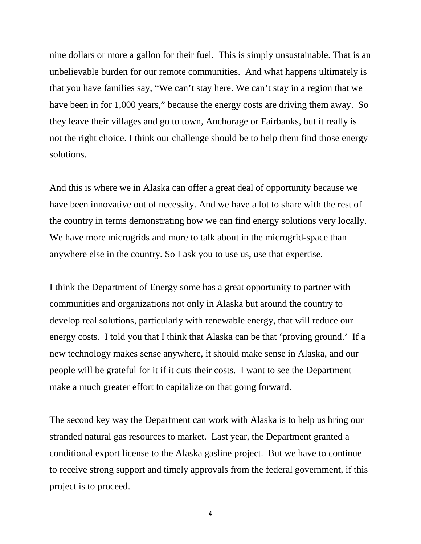nine dollars or more a gallon for their fuel. This is simply unsustainable. That is an unbelievable burden for our remote communities. And what happens ultimately is that you have families say, "We can't stay here. We can't stay in a region that we have been in for 1,000 years," because the energy costs are driving them away. So they leave their villages and go to town, Anchorage or Fairbanks, but it really is not the right choice. I think our challenge should be to help them find those energy solutions.

And this is where we in Alaska can offer a great deal of opportunity because we have been innovative out of necessity. And we have a lot to share with the rest of the country in terms demonstrating how we can find energy solutions very locally. We have more microgrids and more to talk about in the microgrid-space than anywhere else in the country. So I ask you to use us, use that expertise.

I think the Department of Energy some has a great opportunity to partner with communities and organizations not only in Alaska but around the country to develop real solutions, particularly with renewable energy, that will reduce our energy costs. I told you that I think that Alaska can be that 'proving ground.' If a new technology makes sense anywhere, it should make sense in Alaska, and our people will be grateful for it if it cuts their costs. I want to see the Department make a much greater effort to capitalize on that going forward.

The second key way the Department can work with Alaska is to help us bring our stranded natural gas resources to market. Last year, the Department granted a conditional export license to the Alaska gasline project. But we have to continue to receive strong support and timely approvals from the federal government, if this project is to proceed.